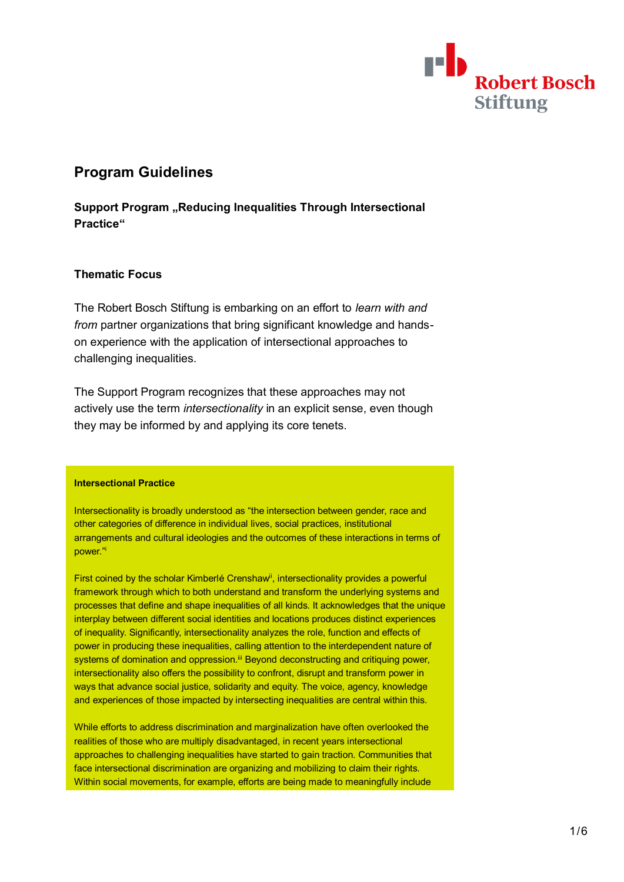

# **Program Guidelines**

**Support Program "Reducing Inequalities Through Intersectional Practice"**

## **Thematic Focus**

The Robert Bosch Stiftung is embarking on an effort to *learn with and from* partner organizations that bring significant knowledge and handson experience with the application of intersectional approaches to challenging inequalities.

The Support Program recognizes that these approaches may not actively use the term *intersectionality* in an explicit sense, even though they may be informed by and applying its core tenets.

#### **Intersectional Practice**

Intersectionality is broadly understood as "the intersection between gender, race and other categories of difference in individual lives, social practices, institutional arrangements and cultural ideologies and the outcomes of these interactions in terms of power." i

First coined by the scholar Kimberlé Crenshaw<sup>ii</sup>, intersectionality provides a powerful framework through which to both understand and transform the underlying systems and processes that define and shape inequalities of all kinds. It acknowledges that the unique interplay between different social identities and locations produces distinct experiences of inequality. Significantly, intersectionality analyzes the role, function and effects of power in producing these inequalities, calling attention to the interdependent nature of systems of domination and oppression.<sup>iii</sup> Beyond deconstructing and critiquing power, intersectionality also offers the possibility to confront, disrupt and transform power in ways that advance social justice, solidarity and equity. The voice, agency, knowledge and experiences of those impacted by intersecting inequalities are central within this.

While efforts to address discrimination and marginalization have often overlooked the realities of those who are multiply disadvantaged, in recent years intersectional approaches to challenging inequalities have started to gain traction. Communities that face intersectional discrimination are organizing and mobilizing to claim their rights. Within social movements, for example, efforts are being made to meaningfully include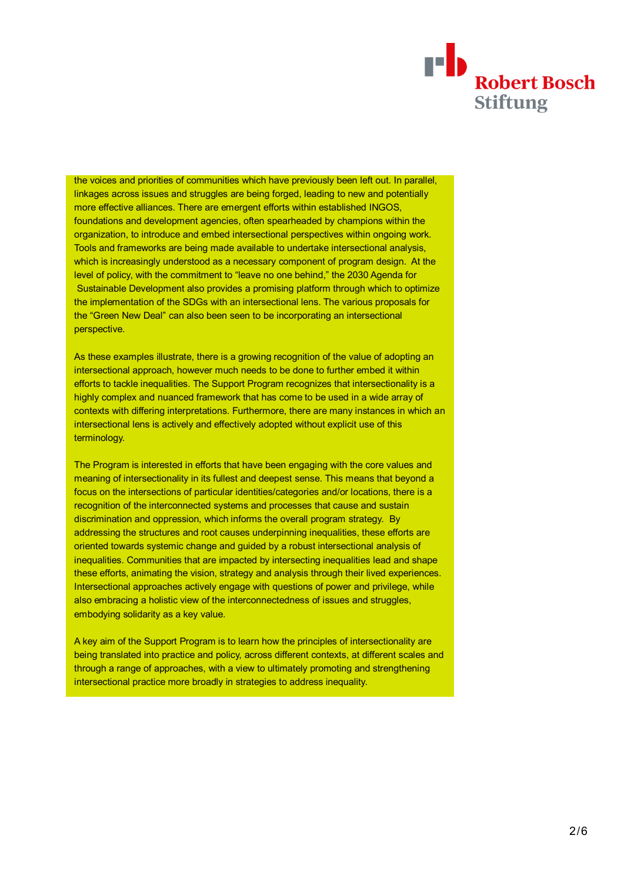

the voices and priorities of communities which have previously been left out. In parallel, linkages across issues and struggles are being forged, leading to new and potentially more effective alliances. There are emergent efforts within established INGOS, foundations and development agencies, often spearheaded by champions within the organization, to introduce and embed intersectional perspectives within ongoing work. Tools and frameworks are being made available to undertake intersectional analysis, which is increasingly understood as a necessary component of program design. At the level of policy, with the commitment to "leave no one behind," the 2030 Agenda for Sustainable Development also provides a promising platform through which to optimize the implementation of the SDGs with an intersectional lens. The various proposals for the "Green New Deal" can also been seen to be incorporating an intersectional perspective.

As these examples illustrate, there is a growing recognition of the value of adopting an intersectional approach, however much needs to be done to further embed it within efforts to tackle inequalities. The Support Program recognizes that intersectionality is a highly complex and nuanced framework that has come to be used in a wide array of contexts with differing interpretations. Furthermore, there are many instances in which an intersectional lens is actively and effectively adopted without explicit use of this terminology.

The Program is interested in efforts that have been engaging with the core values and meaning of intersectionality in its fullest and deepest sense. This means that beyond a focus on the intersections of particular identities/categories and/or locations, there is a recognition of the interconnected systems and processes that cause and sustain discrimination and oppression, which informs the overall program strategy. By addressing the structures and root causes underpinning inequalities, these efforts are oriented towards systemic change and guided by a robust intersectional analysis of inequalities. Communities that are impacted by intersecting inequalities lead and shape these efforts, animating the vision, strategy and analysis through their lived experiences. Intersectional approaches actively engage with questions of power and privilege, while also embracing a holistic view of the interconnectedness of issues and struggles, embodying solidarity as a key value.

A key aim of the Support Program is to learn how the principles of intersectionality are being translated into practice and policy, across different contexts, at different scales and through a range of approaches, with a view to ultimately promoting and strengthening intersectional practice more broadly in strategies to address inequality.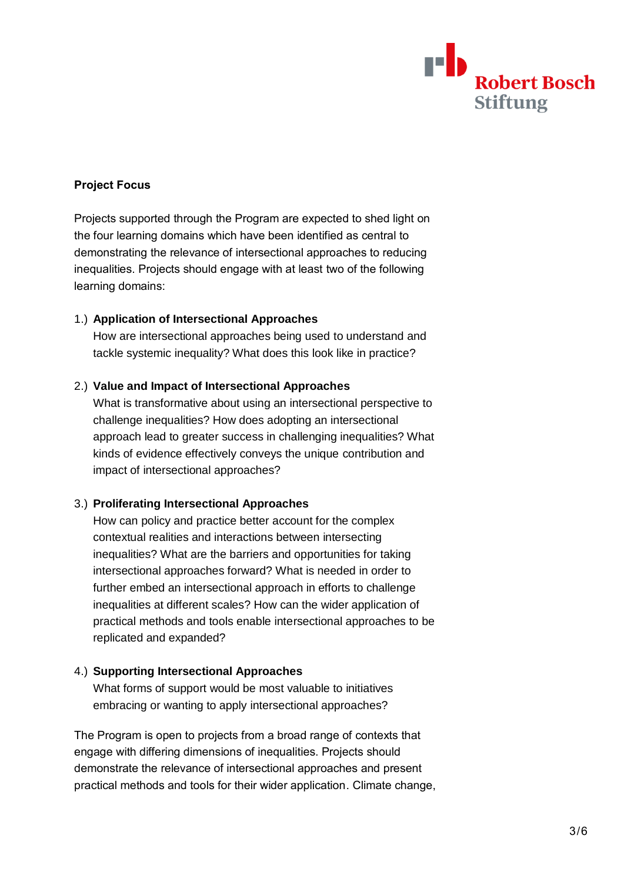

## **Project Focus**

Projects supported through the Program are expected to shed light on the four learning domains which have been identified as central to demonstrating the relevance of intersectional approaches to reducing inequalities. Projects should engage with at least two of the following learning domains:

## 1.) **Application of Intersectional Approaches**

How are intersectional approaches being used to understand and tackle systemic inequality? What does this look like in practice?

#### 2.) **Value and Impact of Intersectional Approaches**

What is transformative about using an intersectional perspective to challenge inequalities? How does adopting an intersectional approach lead to greater success in challenging inequalities? What kinds of evidence effectively conveys the unique contribution and impact of intersectional approaches?

## 3.) **Proliferating Intersectional Approaches**

How can policy and practice better account for the complex contextual realities and interactions between intersecting inequalities? What are the barriers and opportunities for taking intersectional approaches forward? What is needed in order to further embed an intersectional approach in efforts to challenge inequalities at different scales? How can the wider application of practical methods and tools enable intersectional approaches to be replicated and expanded?

### 4.) **Supporting Intersectional Approaches**

What forms of support would be most valuable to initiatives embracing or wanting to apply intersectional approaches?

The Program is open to projects from a broad range of contexts that engage with differing dimensions of inequalities. Projects should demonstrate the relevance of intersectional approaches and present practical methods and tools for their wider application. Climate change,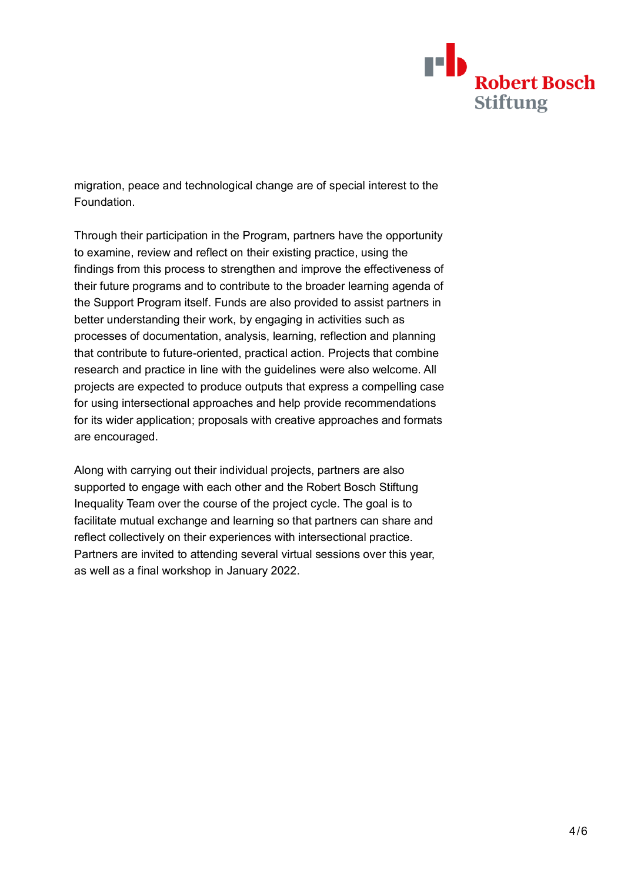

migration, peace and technological change are of special interest to the Foundation.

Through their participation in the Program, partners have the opportunity to examine, review and reflect on their existing practice, using the findings from this process to strengthen and improve the effectiveness of their future programs and to contribute to the broader learning agenda of the Support Program itself. Funds are also provided to assist partners in better understanding their work, by engaging in activities such as processes of documentation, analysis, learning, reflection and planning that contribute to future-oriented, practical action. Projects that combine research and practice in line with the guidelines were also welcome. All projects are expected to produce outputs that express a compelling case for using intersectional approaches and help provide recommendations for its wider application; proposals with creative approaches and formats are encouraged.

Along with carrying out their individual projects, partners are also supported to engage with each other and the Robert Bosch Stiftung Inequality Team over the course of the project cycle. The goal is to facilitate mutual exchange and learning so that partners can share and reflect collectively on their experiences with intersectional practice. Partners are invited to attending several virtual sessions over this year, as well as a final workshop in January 2022.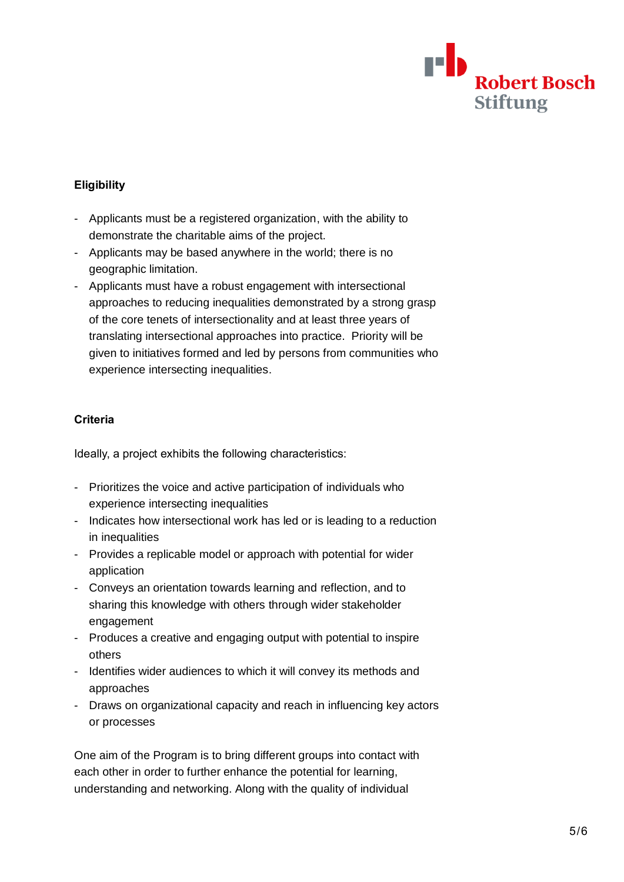

## **Eligibility**

- Applicants must be a registered organization, with the ability to demonstrate the charitable aims of the project.
- Applicants may be based anywhere in the world; there is no geographic limitation.
- Applicants must have a robust engagement with intersectional approaches to reducing inequalities demonstrated by a strong grasp of the core tenets of intersectionality and at least three years of translating intersectional approaches into practice. Priority will be given to initiatives formed and led by persons from communities who experience intersecting inequalities.

## **Criteria**

Ideally, a project exhibits the following characteristics:

- Prioritizes the voice and active participation of individuals who experience intersecting inequalities
- Indicates how intersectional work has led or is leading to a reduction in inequalities
- Provides a replicable model or approach with potential for wider application
- Conveys an orientation towards learning and reflection, and to sharing this knowledge with others through wider stakeholder engagement
- Produces a creative and engaging output with potential to inspire others
- Identifies wider audiences to which it will convey its methods and approaches
- Draws on organizational capacity and reach in influencing key actors or processes

One aim of the Program is to bring different groups into contact with each other in order to further enhance the potential for learning, understanding and networking. Along with the quality of individual